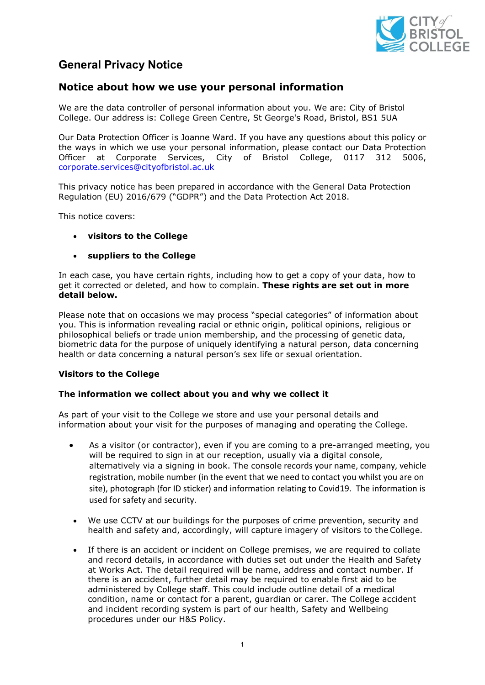

# **General Privacy Notice**

## **Notice about how we use your personal information**

We are the data controller of personal information about you. We are: City of Bristol College. Our address is: College Green Centre, St George's Road, Bristol, BS1 5UA

Our Data Protection Officer is Joanne Ward. If you have any questions about this policy or the ways in which we use your personal information, please contact our Data Protection Officer at Corporate Services, City of Bristol College, 0117 312 5006, [corporate.services@cityofbristol.ac.uk](mailto:corporate.services@cityofbristol.ac.uk)

This privacy notice has been prepared in accordance with the General Data Protection Regulation (EU) 2016/679 ("GDPR") and the Data Protection Act 2018.

This notice covers:

• **visitors to the College**

## • **suppliers to the College**

In each case, you have certain rights, including how to get a copy of your data, how to get it corrected or deleted, and how to complain. **These rights are set out in more detail below.**

Please note that on occasions we may process "special categories" of information about you. This is information revealing racial or ethnic origin, political opinions, religious or philosophical beliefs or trade union membership, and the processing of genetic data, biometric data for the purpose of uniquely identifying a natural person, data concerning health or data concerning a natural person's sex life or sexual orientation.

## **Visitors to the College**

## **The information we collect about you and why we collect it**

As part of your visit to the College we store and use your personal details and information about your visit for the purposes of managing and operating the College.

- As a visitor (or contractor), even if you are coming to a pre-arranged meeting, you will be required to sign in at our reception, usually via a digital console, alternatively via a signing in book. The console records your name, company, vehicle registration, mobile number (in the event that we need to contact you whilst you are on site), photograph (for ID sticker) and information relating to Covid19. The information is used for safety and security.
- We use CCTV at our buildings for the purposes of crime prevention, security and health and safety and, accordingly, will capture imagery of visitors to the College.
- If there is an accident or incident on College premises, we are required to collate and record details, in accordance with duties set out under the Health and Safety at Works Act. The detail required will be name, address and contact number. If there is an accident, further detail may be required to enable first aid to be administered by College staff. This could include outline detail of a medical condition, name or contact for a parent, guardian or carer. The College accident and incident recording system is part of our health, Safety and Wellbeing procedures under our H&S Policy.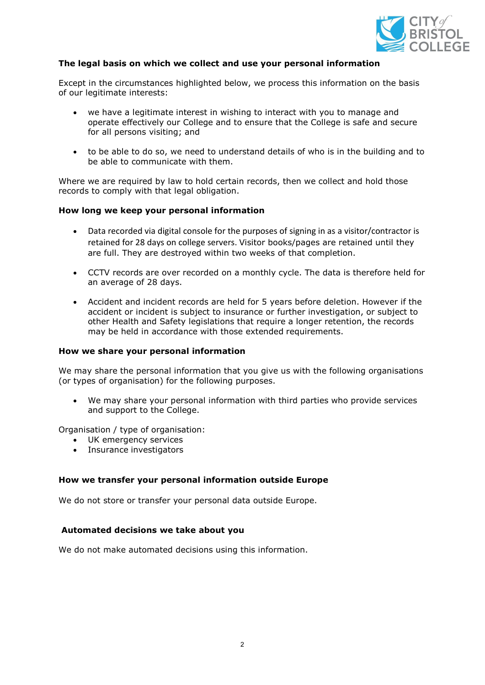

## **The legal basis on which we collect and use your personal information**

Except in the circumstances highlighted below, we process this information on the basis of our legitimate interests:

- we have a legitimate interest in wishing to interact with you to manage and operate effectively our College and to ensure that the College is safe and secure for all persons visiting; and
- to be able to do so, we need to understand details of who is in the building and to be able to communicate with them.

Where we are required by law to hold certain records, then we collect and hold those records to comply with that legal obligation.

#### **How long we keep your personal information**

- Data recorded via digital console for the purposes of signing in as a visitor/contractor is retained for 28 days on college servers. Visitor books/pages are retained until they are full. They are destroyed within two weeks of that completion.
- CCTV records are over recorded on a monthly cycle. The data is therefore held for an average of 28 days.
- Accident and incident records are held for 5 years before deletion. However if the accident or incident is subject to insurance or further investigation, or subject to other Health and Safety legislations that require a longer retention, the records may be held in accordance with those extended requirements.

#### **How we share your personal information**

We may share the personal information that you give us with the following organisations (or types of organisation) for the following purposes.

We may share your personal information with third parties who provide services and support to the College.

Organisation / type of organisation:

- UK emergency services
- Insurance investigators

## **How we transfer your personal information outside Europe**

We do not store or transfer your personal data outside Europe.

## **Automated decisions we take about you**

We do not make automated decisions using this information.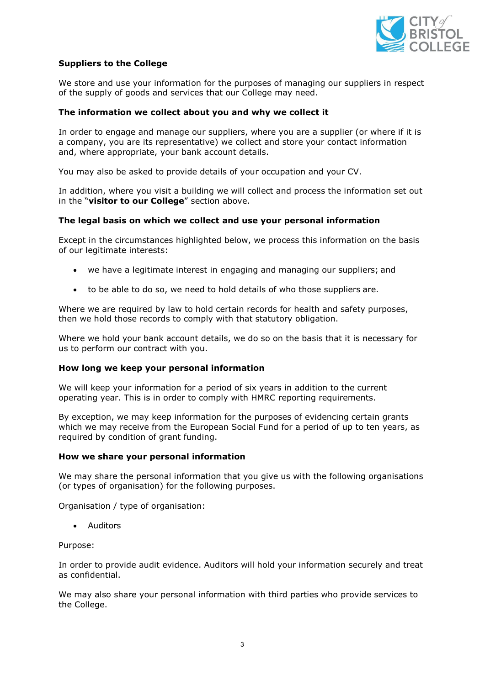

## **Suppliers to the College**

We store and use your information for the purposes of managing our suppliers in respect of the supply of goods and services that our College may need.

#### **The information we collect about you and why we collect it**

In order to engage and manage our suppliers, where you are a supplier (or where if it is a company, you are its representative) we collect and store your contact information and, where appropriate, your bank account details.

You may also be asked to provide details of your occupation and your CV.

In addition, where you visit a building we will collect and process the information set out in the "**visitor to our College**" section above.

#### **The legal basis on which we collect and use your personal information**

Except in the circumstances highlighted below, we process this information on the basis of our legitimate interests:

- we have a legitimate interest in engaging and managing our suppliers; and
- to be able to do so, we need to hold details of who those suppliers are.

Where we are required by law to hold certain records for health and safety purposes, then we hold those records to comply with that statutory obligation.

Where we hold your bank account details, we do so on the basis that it is necessary for us to perform our contract with you.

#### **How long we keep your personal information**

We will keep your information for a period of six years in addition to the current operating year. This is in order to comply with HMRC reporting requirements.

By exception, we may keep information for the purposes of evidencing certain grants which we may receive from the European Social Fund for a period of up to ten years, as required by condition of grant funding.

#### **How we share your personal information**

We may share the personal information that you give us with the following organisations (or types of organisation) for the following purposes.

Organisation / type of organisation:

• Auditors

Purpose:

In order to provide audit evidence. Auditors will hold your information securely and treat as confidential.

We may also share your personal information with third parties who provide services to the College.